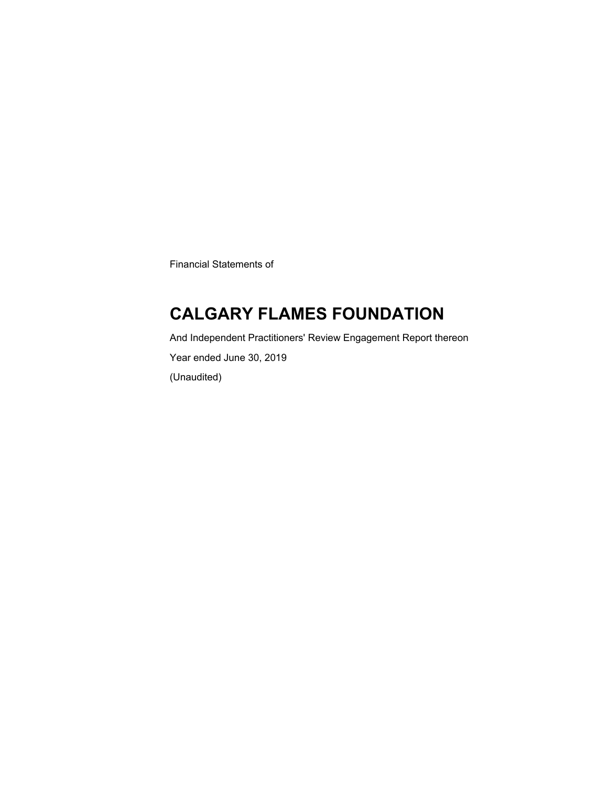Financial Statements of

### **CALGARY FLAMES FOUNDATION**

And Independent Practitioners' Review Engagement Report thereon Year ended June 30, 2019 (Unaudited)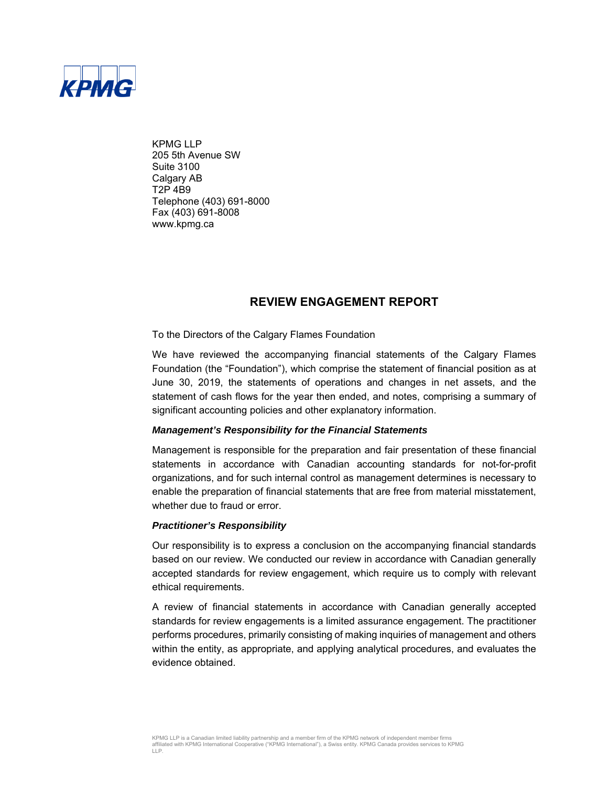

KPMG LLP 205 5th Avenue SW Suite 3100 Calgary AB T2P 4B9 Telephone (403) 691-8000 Fax (403) 691-8008 www.kpmg.ca

### **REVIEW ENGAGEMENT REPORT**

To the Directors of the Calgary Flames Foundation

We have reviewed the accompanying financial statements of the Calgary Flames Foundation (the "Foundation"), which comprise the statement of financial position as at June 30, 2019, the statements of operations and changes in net assets, and the statement of cash flows for the year then ended, and notes, comprising a summary of significant accounting policies and other explanatory information.

#### *Management's Responsibility for the Financial Statements*

Management is responsible for the preparation and fair presentation of these financial statements in accordance with Canadian accounting standards for not-for-profit organizations, and for such internal control as management determines is necessary to enable the preparation of financial statements that are free from material misstatement, whether due to fraud or error

#### *Practitioner's Responsibility*

Our responsibility is to express a conclusion on the accompanying financial standards based on our review. We conducted our review in accordance with Canadian generally accepted standards for review engagement, which require us to comply with relevant ethical requirements.

A review of financial statements in accordance with Canadian generally accepted standards for review engagements is a limited assurance engagement. The practitioner performs procedures, primarily consisting of making inquiries of management and others within the entity, as appropriate, and applying analytical procedures, and evaluates the evidence obtained.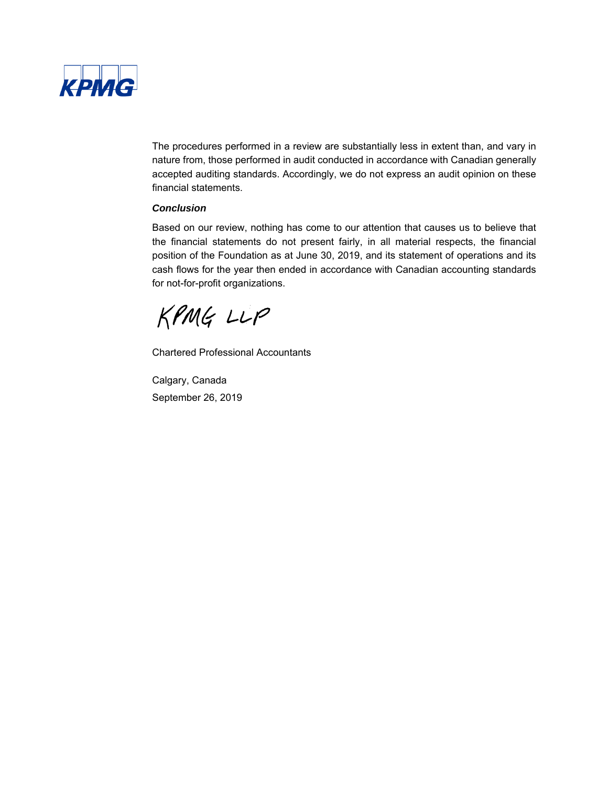

The procedures performed in a review are substantially less in extent than, and vary in nature from, those performed in audit conducted in accordance with Canadian generally accepted auditing standards. Accordingly, we do not express an audit opinion on these financial statements.

#### *Conclusion*

Based on our review, nothing has come to our attention that causes us to believe that the financial statements do not present fairly, in all material respects, the financial position of the Foundation as at June 30, 2019, and its statement of operations and its cash flows for the year then ended in accordance with Canadian accounting standards for not-for-profit organizations.

KPMG LLP

Chartered Professional Accountants

Calgary, Canada September 26, 2019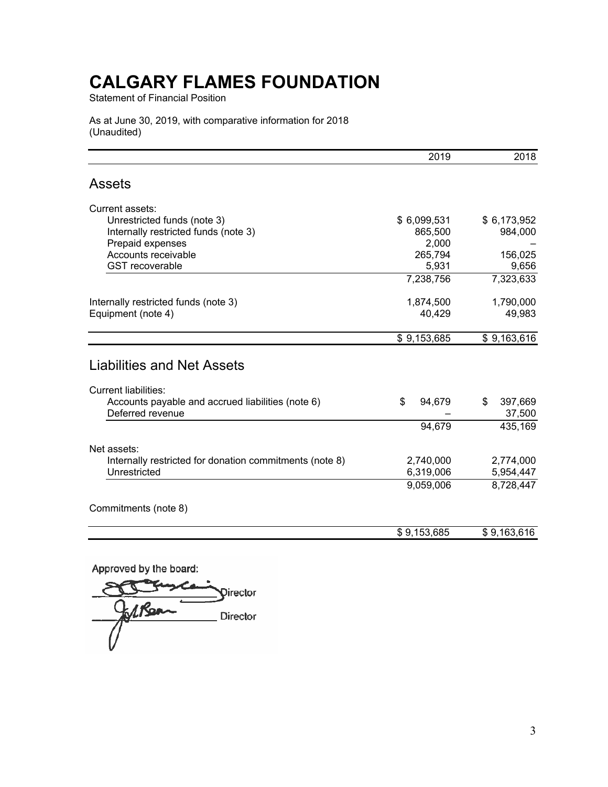Statement of Financial Position

As at June 30, 2019, with comparative information for 2018 (Unaudited)

|                                                                       | 2019             | 2018                    |
|-----------------------------------------------------------------------|------------------|-------------------------|
| <b>Assets</b>                                                         |                  |                         |
| Current assets:                                                       |                  |                         |
| Unrestricted funds (note 3)                                           | \$6,099,531      | \$6,173,952             |
| Internally restricted funds (note 3)<br>Prepaid expenses              | 865,500<br>2,000 | 984,000                 |
| Accounts receivable                                                   | 265,794          | 156,025                 |
| <b>GST</b> recoverable                                                | 5,931            | 9,656                   |
|                                                                       | 7,238,756        | 7,323,633               |
| Internally restricted funds (note 3)                                  | 1,874,500        | 1,790,000               |
| Equipment (note 4)                                                    | 40,429           | 49,983                  |
|                                                                       | \$9,153,685      | \$9,163,616             |
| <b>Liabilities and Net Assets</b>                                     |                  |                         |
| <b>Current liabilities:</b>                                           |                  |                         |
| Accounts payable and accrued liabilities (note 6)<br>Deferred revenue | \$<br>94,679     | 397,669<br>\$<br>37,500 |
|                                                                       | 94,679           | 435,169                 |
| Net assets:                                                           |                  |                         |
| Internally restricted for donation commitments (note 8)               | 2,740,000        | 2,774,000               |
| Unrestricted                                                          | 6,319,006        | 5,954,447               |
|                                                                       | 9,059,006        | 8,728,447               |
| Commitments (note 8)                                                  |                  |                         |
|                                                                       | \$9,153,685      | \$9,163,616             |
|                                                                       |                  |                         |

Approved by the board:

Director 1 Rean Director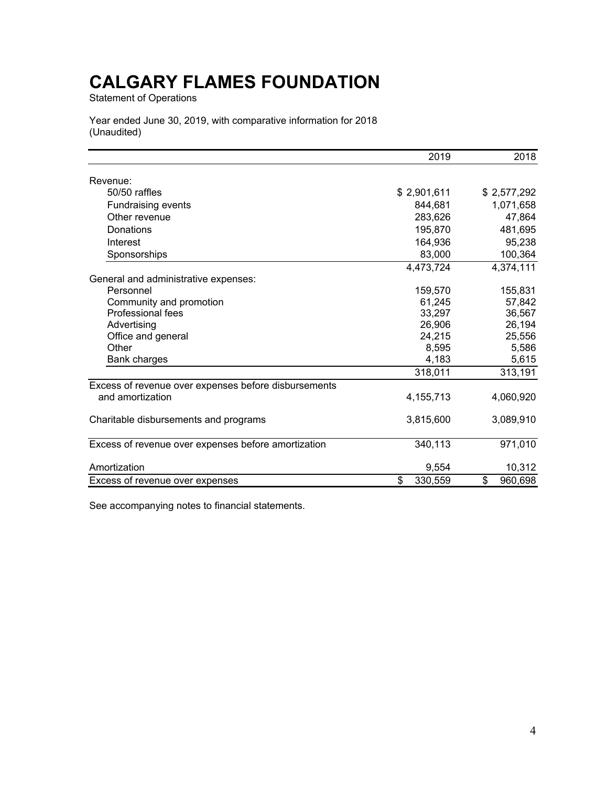Statement of Operations

Year ended June 30, 2019, with comparative information for 2018 (Unaudited)

|                                                      | 2019          | 2018          |
|------------------------------------------------------|---------------|---------------|
| Revenue:                                             |               |               |
| 50/50 raffles                                        | \$2,901,611   | \$2,577,292   |
| <b>Fundraising events</b>                            | 844,681       | 1,071,658     |
| Other revenue                                        | 283,626       | 47,864        |
| Donations                                            | 195,870       | 481,695       |
| Interest                                             | 164,936       | 95,238        |
| Sponsorships                                         | 83,000        | 100,364       |
|                                                      | 4,473,724     | 4,374,111     |
| General and administrative expenses:                 |               |               |
| Personnel                                            | 159,570       | 155,831       |
| Community and promotion                              | 61,245        | 57,842        |
| <b>Professional fees</b>                             | 33,297        | 36,567        |
| Advertising                                          | 26,906        | 26,194        |
| Office and general                                   | 24,215        | 25,556        |
| Other                                                | 8,595         | 5,586         |
| <b>Bank charges</b>                                  | 4,183         | 5,615         |
|                                                      | 318,011       | 313,191       |
| Excess of revenue over expenses before disbursements |               |               |
| and amortization                                     | 4, 155, 713   | 4,060,920     |
| Charitable disbursements and programs                | 3,815,600     | 3,089,910     |
| Excess of revenue over expenses before amortization  | 340,113       | 971,010       |
| Amortization                                         | 9,554         | 10,312        |
| Excess of revenue over expenses                      | \$<br>330,559 | \$<br>960,698 |

See accompanying notes to financial statements.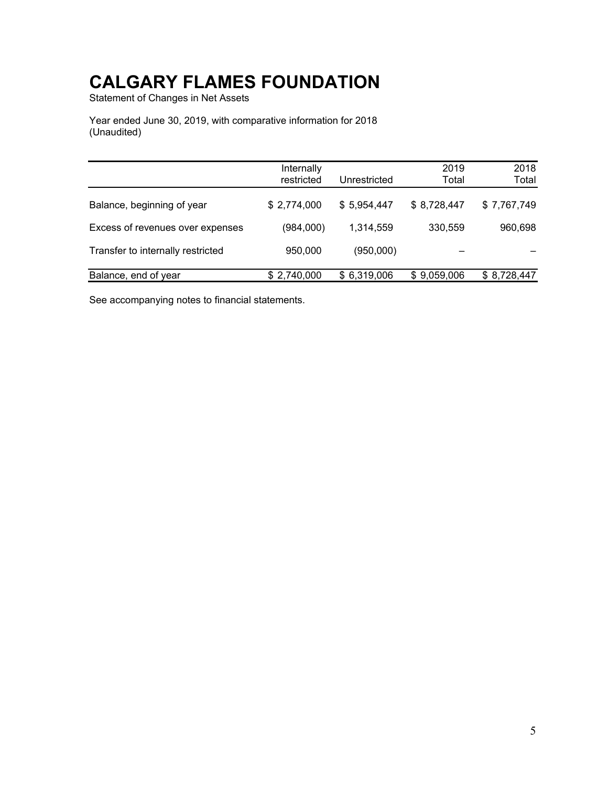Statement of Changes in Net Assets

Year ended June 30, 2019, with comparative information for 2018 (Unaudited)

|                                   | Internally  |              | 2019        | 2018        |
|-----------------------------------|-------------|--------------|-------------|-------------|
|                                   | restricted  | Unrestricted | Total       | Total       |
|                                   |             |              |             |             |
| Balance, beginning of year        | \$2,774,000 | \$5,954,447  | \$8,728,447 | \$7,767,749 |
|                                   |             |              |             |             |
| Excess of revenues over expenses  | (984,000)   | 1,314,559    | 330,559     | 960,698     |
| Transfer to internally restricted | 950,000     | (950,000)    |             |             |
|                                   |             |              |             |             |
| Balance, end of year              | \$2,740,000 | \$6,319,006  | \$9,059,006 | \$8,728,447 |

See accompanying notes to financial statements.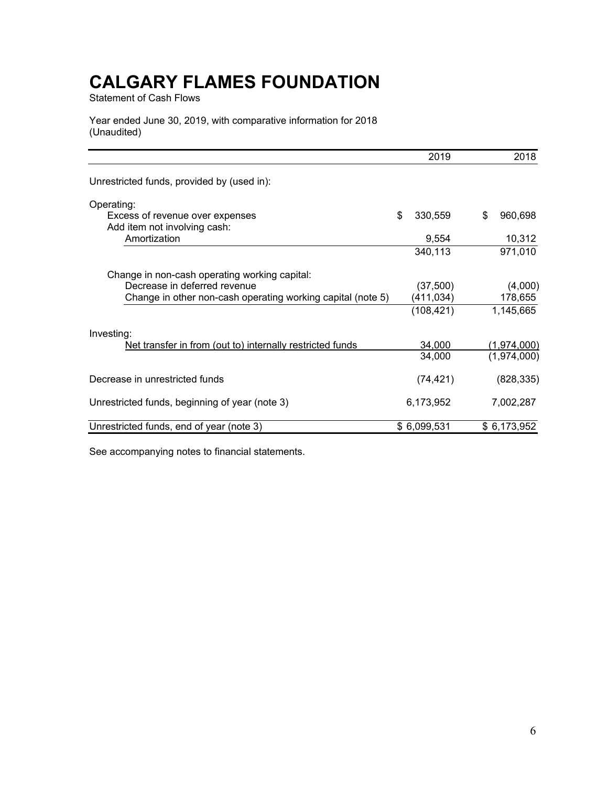Statement of Cash Flows

Year ended June 30, 2019, with comparative information for 2018 (Unaudited)

|                                                             | 2019          | 2018          |
|-------------------------------------------------------------|---------------|---------------|
| Unrestricted funds, provided by (used in):                  |               |               |
| Operating:                                                  |               |               |
| Excess of revenue over expenses                             | \$<br>330,559 | \$<br>960,698 |
| Add item not involving cash:                                |               |               |
| Amortization                                                | 9,554         | 10,312        |
|                                                             | 340,113       | 971,010       |
| Change in non-cash operating working capital:               |               |               |
| Decrease in deferred revenue                                | (37,500)      | (4,000)       |
| Change in other non-cash operating working capital (note 5) | (411,034)     | 178,655       |
|                                                             | (108,421)     | 1,145,665     |
| Investing:                                                  |               |               |
| Net transfer in from (out to) internally restricted funds   | 34,000        | (1,974,000)   |
|                                                             | 34,000        | (1,974,000)   |
| Decrease in unrestricted funds                              | (74, 421)     | (828, 335)    |
| Unrestricted funds, beginning of year (note 3)              | 6,173,952     | 7,002,287     |
| Unrestricted funds, end of year (note 3)                    | \$6,099,531   | \$6,173,952   |

See accompanying notes to financial statements.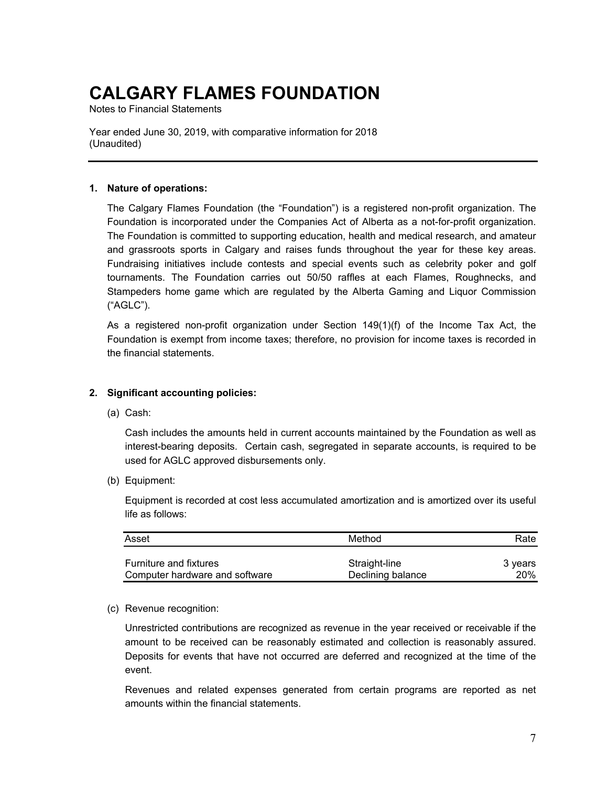Notes to Financial Statements

Year ended June 30, 2019, with comparative information for 2018 (Unaudited)

#### **1. Nature of operations:**

The Calgary Flames Foundation (the "Foundation") is a registered non-profit organization. The Foundation is incorporated under the Companies Act of Alberta as a not-for-profit organization. The Foundation is committed to supporting education, health and medical research, and amateur and grassroots sports in Calgary and raises funds throughout the year for these key areas. Fundraising initiatives include contests and special events such as celebrity poker and golf tournaments. The Foundation carries out 50/50 raffles at each Flames, Roughnecks, and Stampeders home game which are regulated by the Alberta Gaming and Liquor Commission ("AGLC").

As a registered non-profit organization under Section 149(1)(f) of the Income Tax Act, the Foundation is exempt from income taxes; therefore, no provision for income taxes is recorded in the financial statements.

#### **2. Significant accounting policies:**

(a) Cash:

Cash includes the amounts held in current accounts maintained by the Foundation as well as interest-bearing deposits. Certain cash, segregated in separate accounts, is required to be used for AGLC approved disbursements only.

(b) Equipment:

Equipment is recorded at cost less accumulated amortization and is amortized over its useful life as follows:

| Asset                          | Method            | Rate       |  |  |
|--------------------------------|-------------------|------------|--|--|
| <b>Furniture and fixtures</b>  | Straight-line     | 3 vears    |  |  |
| Computer hardware and software | Declining balance | <b>20%</b> |  |  |

(c) Revenue recognition:

Unrestricted contributions are recognized as revenue in the year received or receivable if the amount to be received can be reasonably estimated and collection is reasonably assured. Deposits for events that have not occurred are deferred and recognized at the time of the event.

Revenues and related expenses generated from certain programs are reported as net amounts within the financial statements.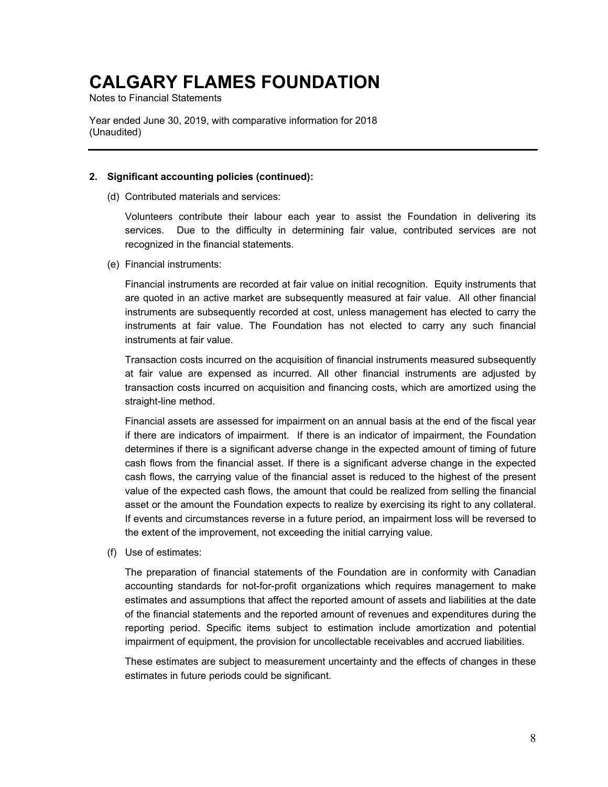Notes to Financial Statements

Year ended June 30, 2019, with comparative information for 2018 (Unaudited)

#### **2. Significant accounting policies (continued):**

(d) Contributed materials and services:

Volunteers contribute their labour each year to assist the Foundation in delivering its services. Due to the difficulty in determining fair value, contributed services are not recognized in the financial statements.

(e) Financial instruments:

Financial instruments are recorded at fair value on initial recognition. Equity instruments that are quoted in an active market are subsequently measured at fair value. All other financial instruments are subsequently recorded at cost, unless management has elected to carry the instruments at fair value. The Foundation has not elected to carry any such financial instruments at fair value.

Transaction costs incurred on the acquisition of financial instruments measured subsequently at fair value are expensed as incurred. All other financial instruments are adjusted by transaction costs incurred on acquisition and financing costs, which are amortized using the straight-line method.

Financial assets are assessed for impairment on an annual basis at the end of the fiscal year if there are indicators of impairment. If there is an indicator of impairment, the Foundation determines if there is a significant adverse change in the expected amount of timing of future cash flows from the financial asset. If there is a significant adverse change in the expected cash flows, the carrying value of the financial asset is reduced to the highest of the present value of the expected cash flows, the amount that could be realized from selling the financial asset or the amount the Foundation expects to realize by exercising its right to any collateral. If events and circumstances reverse in a future period, an impairment loss will be reversed to the extent of the improvement, not exceeding the initial carrying value.

(f) Use of estimates:

The preparation of financial statements of the Foundation are in conformity with Canadian accounting standards for not-for-profit organizations which requires management to make estimates and assumptions that affect the reported amount of assets and liabilities at the date of the financial statements and the reported amount of revenues and expenditures during the reporting period. Specific items subject to estimation include amortization and potential impairment of equipment, the provision for uncollectable receivables and accrued liabilities.

These estimates are subject to measurement uncertainty and the effects of changes in these estimates in future periods could be significant.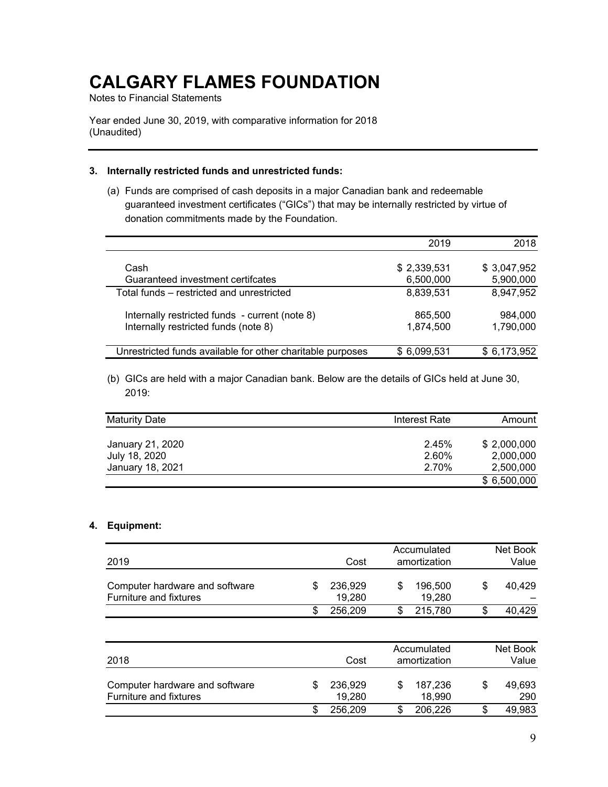Notes to Financial Statements

Year ended June 30, 2019, with comparative information for 2018 (Unaudited)

#### **3. Internally restricted funds and unrestricted funds:**

(a) Funds are comprised of cash deposits in a major Canadian bank and redeemable guaranteed investment certificates ("GICs") that may be internally restricted by virtue of donation commitments made by the Foundation.

|                                                            | 2019        | 2018        |
|------------------------------------------------------------|-------------|-------------|
|                                                            |             |             |
| Cash                                                       | \$2,339,531 | \$3,047,952 |
| Guaranteed investment certifcates                          | 6,500,000   | 5,900,000   |
| Total funds – restricted and unrestricted                  | 8,839,531   | 8,947,952   |
| Internally restricted funds - current (note 8)             | 865,500     | 984,000     |
| Internally restricted funds (note 8)                       | 1,874,500   | 1,790,000   |
|                                                            |             |             |
| Unrestricted funds available for other charitable purposes | \$6,099,531 | \$6,173,952 |

(b) GICs are held with a major Canadian bank. Below are the details of GICs held at June 30, 2019:

| <b>Maturity Date</b> | Interest Rate | Amount      |
|----------------------|---------------|-------------|
| January 21, 2020     | 2.45%         | \$2,000,000 |
| July 18, 2020        | 2.60%         | 2,000,000   |
| January 18, 2021     | 2.70%         | 2,500,000   |
|                      |               | \$6,500,000 |

#### **4. Equipment:**

| 2019                                                     |    | Cost              | Accumulated<br>amortization |    | Net Book<br>Value |  |
|----------------------------------------------------------|----|-------------------|-----------------------------|----|-------------------|--|
| Computer hardware and software<br>Furniture and fixtures | \$ | 236,929<br>19,280 | 196,500<br>\$<br>19,280     | \$ | 40,429            |  |
|                                                          | \$ | 256,209           | 215,780<br>S                | S  | 40,429            |  |
|                                                          |    |                   | Accumulated                 |    | Net Book          |  |
| 2018                                                     |    | Cost              | amortization                |    | Value             |  |

| Computer hardware and software | 236.929 | 187.236 | 49.693 |
|--------------------------------|---------|---------|--------|
| Furniture and fixtures         | 19.280  | 18.990  | 290    |
|                                | 256.209 | 206.226 | 49.983 |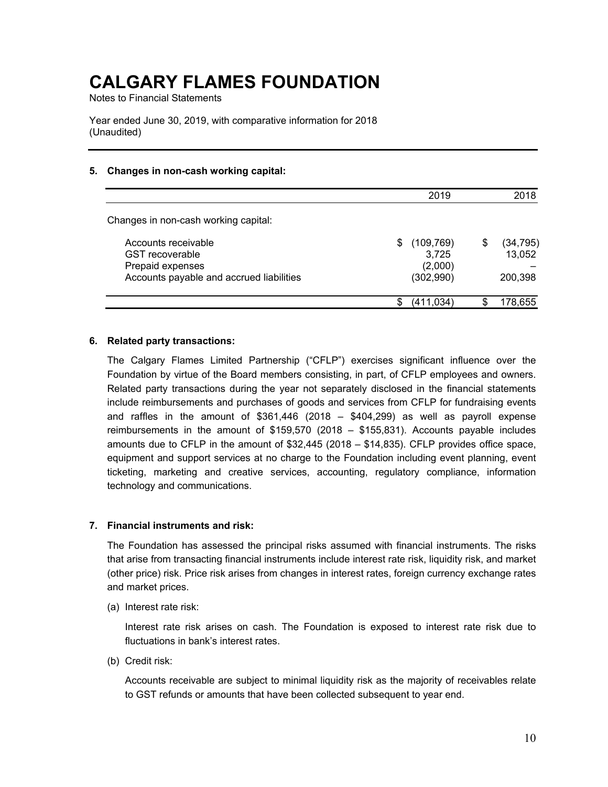Notes to Financial Statements

Year ended June 30, 2019, with comparative information for 2018 (Unaudited)

#### **5. Changes in non-cash working capital:**

|                                                                                                               |   | 2019                                        | 2018                                 |
|---------------------------------------------------------------------------------------------------------------|---|---------------------------------------------|--------------------------------------|
| Changes in non-cash working capital:                                                                          |   |                                             |                                      |
| Accounts receivable<br><b>GST</b> recoverable<br>Prepaid expenses<br>Accounts payable and accrued liabilities | S | (109, 769)<br>3,725<br>(2,000)<br>(302,990) | \$<br>(34, 795)<br>13,052<br>200,398 |
|                                                                                                               | S | (411,034)                                   | 178,655                              |

#### **6. Related party transactions:**

The Calgary Flames Limited Partnership ("CFLP") exercises significant influence over the Foundation by virtue of the Board members consisting, in part, of CFLP employees and owners. Related party transactions during the year not separately disclosed in the financial statements include reimbursements and purchases of goods and services from CFLP for fundraising events and raffles in the amount of \$361,446 (2018 – \$404,299) as well as payroll expense reimbursements in the amount of \$159,570 (2018 – \$155,831). Accounts payable includes amounts due to CFLP in the amount of \$32,445 (2018 – \$14,835). CFLP provides office space, equipment and support services at no charge to the Foundation including event planning, event ticketing, marketing and creative services, accounting, regulatory compliance, information technology and communications.

#### **7. Financial instruments and risk:**

The Foundation has assessed the principal risks assumed with financial instruments. The risks that arise from transacting financial instruments include interest rate risk, liquidity risk, and market (other price) risk. Price risk arises from changes in interest rates, foreign currency exchange rates and market prices.

(a) Interest rate risk:

Interest rate risk arises on cash. The Foundation is exposed to interest rate risk due to fluctuations in bank's interest rates.

(b) Credit risk:

Accounts receivable are subject to minimal liquidity risk as the majority of receivables relate to GST refunds or amounts that have been collected subsequent to year end.